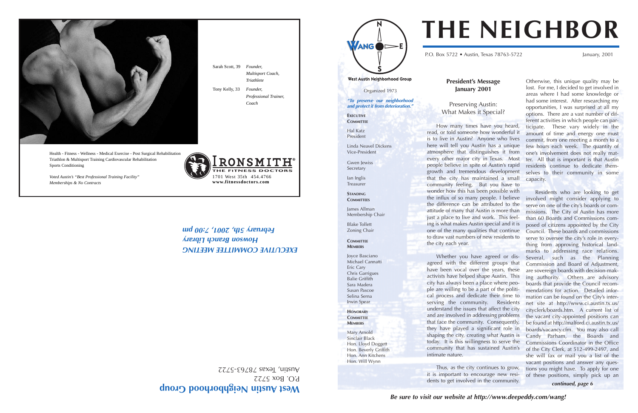**Be sure to visit our website at http://www.deepeddy.com/wang!**

Organized 1973

**"To preserve our neighborhood and protect it from deterioration."**

Gwen lewiss Secretary

**EXECUTIVE COMMITTEE**

Hal Katz President

Linda Neavel Dickens Vice-President

Ian Inglis Treasurer

**STANDING**

**COMMITTEES** 

James Allman

Membership Chair

Blake Tollett Zoning Chair

**COMMITTEE MEMBERS**

Joyce Basciano Michael Cannatti Eric Cary Chris Garrigues Balie Griffith Sara Madera Susan Pascoe Selina Serna Irwin Spear **HONORARY COMMITTEE MEMBERS**

Mary Arnold Sinclair Black Hon. Lloyd Doggett Hon. Beverly Griffith Hon. Ann Kitchens Hon. Will Wynn

### **President's Message January 2001**

Preserving Austin: What Makes it Special?

How many times have you heard, read, or told someone how wonderful it is to live in Austin? Anyone who lives here will tell you Austin has a unique atmosphere that distinguishes it from every other major city in Texas. Most people believe in spite of Austin's rapid growth and tremendous development that the city has maintained a small community feeling. But you have to wonder how this has been possible with the influx of so many people. I believe the difference can be attributed to the attitude of many that Austin is more than just a place to live and work. This feeling is what makes Austin special and it is one of the many qualities that continue to draw vast numbers of new residents to

the city each year.

Whether you have agreed or disagreed with the different groups that have been vocal over the years, these activists have helped shape Austin. This city has always been a place where people are willing to be a part of the political process and dedicate their time to serving the community. Residents understand the issues that affect the city and are involved in addressing problems that face the community. Consequently, they have played a significant role in shaping the city, creating what Austin is today. It is this willingness to serve the community that has sustained Austin's

West Austin Neighborhood Group P.O. Box 5722

 $Y$ ustin, Texas 78763-5722

ANG



P.O. Box 5722 • Austin, Texas 78763-5722 January, 2001

West Austin Neighborhood Group

**EXECUTIVE COMMITTEE MEETING Howson Branch Library February 2007, 2:00 pm** 

intimate nature.

Thus, as the city continues to grow, it is important to encourage new residents to get involved in the community.

**E FITNESS DOCTOR** 1701 West 35th 454.4766 **www.fitnessdoctors.com**

Otherwise, this unique quality may be lost. For me, I decided to get involved in areas where I had some knowledge or had some interest. After researching my opportunities, I was surprised at all my options. There are a vast number of different activities in which people can participate. These vary widely in the amount of time and energy one must commit, from one meeting a month to a few hours each week. The quantity of one's involvement does not really matter. All that is important is that Austin residents continue to dedicate themselves to their community in some capacity.

Residents who are looking to get involved might consider applying to serve on one of the city's boards or commissions. The City of Austin has more than 60 Boards and Commissions composed of citizens appointed by the City Council. These boards and commissions serve to oversee the city's role in everything from approving historical landmarks to addressing race relations. Several, such as the Planning Commission and Board of Adjustment, are sovereign boards with decision-making authority. Others are advisory boards that provide the Council recommendations for action. Detailed information can be found on the City's internet site at http://www.ci.austin.tx.us/ cityclerk/boards.htm. A current list of the vacant city-appointed positions can be found at http://malford.ci.austin.tx.us/ boards/vacancy.cfm. You may also call Candy Parham, the Boards and Commissions Coordinator in the Office of the City Clerk, at 512-499-2497, and she will fax or mail you a list of the vacant positions and answer any questions you might have. To apply for one of these positions, simply pick up an **continued, page 6**

# **THE NEIGHBOR**

Sarah Scott, 39 *Founder,* 

*Multisport Coach, Triathlete*

Tony Kelly, 33 *Founder,* 

*Professional Trainer,* 

*Coach* 

Health - Fitness - Wellness - Medical Exercise - Post Surgical Rehabilitation Triathlon & Multisport Training Cardiovascular Rehabilitation Sports Conditioning

*Voted Austin's "Best Professional Training Facility" Memberships & No Contracts*

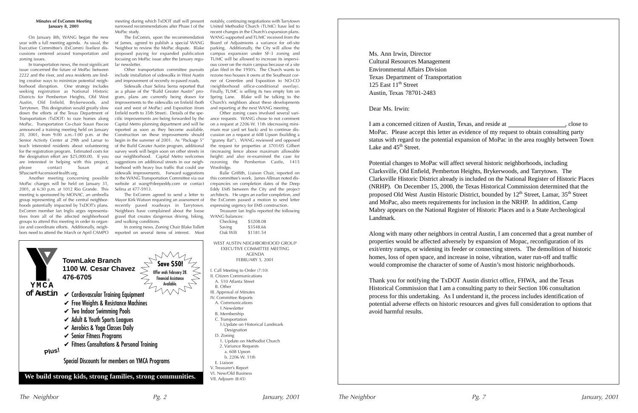#### **Minutes of ExComm Meeting January 8, 2001**

On January 8th, WANG began the new year with a full meeting agenda. As usual, the Executive Committee's (ExComm) liveliest discussions centered around transportation and zoning issues.

In transportation news, the most significant issue concerned the future of MoPac between 2222 and the river, and area residents are finding creative ways to minimize potential neighborhood disruption. One strategy includes seeking registration as National Historic Districts for Pemberton Heights, Old West Austin, Old Enfield, Brykerwoods, and Tarrytown. This designation would greatly slow down the efforts of the Texas Department of Transportation (TxDOT) to raze homes along MoPac. Transportation Co-chair Susan Pascoe announced a training meeting held on January 20, 2001, from 9:00 a.m.-1:00 p.m. at the Senior Activity Center at 29th and Lamar to teach interested residents about volunteering for the registration program. Estimated costs for the designation effort are \$25,000.00. If you are interested in helping with this project, please contact Susan at SPascoe@AscensionHealth.org.

Another meeting concerning possible MoPac changes will be held on January 31, 2001, at 6:30 p.m. at 1012 Rio Grande. This meeting is sponsored by MONAC, an umbrella group representing all of the central neighborhoods potentially impacted by TxDOT's plans. ExComm member Ian Inglis urges representatives from all of the affected neighborhood groups to attend this meeting in order to organize and coordinate efforts. Additionally, neighbors need to attend the March or April CAMPO

meeting during which TxDOT staff will present narrowed recommendations after Phase I of the MoPac study.

The ExComm, upon the recommendation of James, agreed to publish a special WANG Neighbor to review the MoPac dispute. Blake proposed paying for expanded publication focusing on MoPac issue after the January regular newsletter.

Other transportation committee pursuits include installation of sidewalks in West Austin and improvement of recently re-paved roads.

Sidewalk chair Selina Serna reported that as a phase of the "Build Greater Austin" program, plans are currently being drawn for improvements to the sidewalks on Enfield (both east and west of MoPac) and Exposition (from Enfield north to 35th Street). Details of the specific improvements are being forwarded by the Capital Metro planning department and will be reported as soon as they become available. Construction on these improvements should begin in the summer of 2001. As "Package 5" of the Build Greater Austin program, additional survey work will begin soon on other streets in our neighborhood. Capital Metro welcomes suggestions on additional streets in our neighborhood with heavy bus traffic that could use sidewalk improvements. Forward suggestions to the WANG Transportation Committee via our website at wang@deepeddy.com or contact Selina at 477-5913.

I am a concerned citizen of Austin, Texas, and reside at , close to MoPac. Please accept this letter as evidence of my request to obtain consulting party status with regard to the potential expansion of MoPac in the area roughly between Town Lake and 45<sup>th</sup> Street.

The ExComm agreed to send a letter to Mayor Kirk Watson requesting an assessment of recently paved roadways in Tarrytown. Neighbors have complained about the loose gravel that creates dangerous driving, biking, and walking conditions.

In zoning news, Zoning Chair Blake Tollett reported on several items of interest. Most

notably, continuing negotiations with Tarrytown United Methodist Church (TUMC) have led to recent changes in the Church's expansion plans. WANG supported and TUMC received from the Board of Adjustments a variance for off-site parking. Additionally, the City will allow the campus expansion under SF-3 zoning and TUMC will be allowed to increase its impervious cover on the main campus because of a site plan filed in the 1950's. The Church wants to rezone two houses it owns at the Southeast corner of Greenlee and Exposition to NO-CO (neighborhood office-conditional overlay). Finally, TUMC is selling its two empty lots on Spring Lane. Blake will be talking to the Church's neighbors about these developments and reporting at the next WANG meeting.

Other zoning cases involved several variance requests. WANG chose to not comment on a request at 2206 W. 11th (decreasing minimum rear yard set back) and to continue discussion on a request at 608 Upson (building a "granny flat"). WANG reviewed and opposed the request for properties at 3701/05 Gilbert (increasing fence above maximum allowable height) and also re-examined the case for rezoning the Pemberton Castle, 1415 Woolridge.

Balie Griffith, Liaison Chair, reported on this committee's work. James Allman noted discrepancies on completion dates of the Deep Eddy EMS between the City and the project architects. He urges an earlier completion, and the ExComm passed a motion to send letter expressing urgency for EMS construction.

Treasurer Ian Inglis reported the following WANG balances:

| Checking | \$3208.08 |
|----------|-----------|
| Saving   | \$3548.66 |
| Oak Wilt | \$1181.54 |

WEST AUSTIN NEIGHBORHOOD GROUP EXECUTIVE COMMITTEE MEETING AGENDA FEBRUARY 5, 2001

I. Call Meeting to Order (7:10)

- II. Citizen Communications
- A. 510 Atlanta Street
- 
- IV. Committee Reports
- A. Communications
- 1.Newsletter
- B. Membership
- C. Transportation 1.Update on Historical Landmark Designation
- D. Zoning
- 1. Update on Methodist Church
- 2. Variance Requests
- a. 608 Upson
- b. 2206 W. 11th
- E. Liaison
- V. Treasurer's Report
- VI. New/Old Business VII. Adjourn (8:45)

Ms. Ann Irwin, Director Cultural Resources Management Environmental Affairs Division Texas Department of Transportation 125 East  $11<sup>th</sup>$  Street Austin, Texas 78701-2483

Dear Ms. Irwin:

Potential changes to MoPac will affect several historic neighborhoods, including Clarksville, Old Enfield, Pemberton Heights, Brykerwoods, and Tarrytown. The Clarksville Historic District already is included on the National Register of Historic Places (NRHP). On December 15, 2000, the Texas Historical Commission determined that the proposed Old West Austin Historic District, bounded by  $12<sup>th</sup>$  Street, Lamar,  $35<sup>th</sup>$  Street and MoPac, also meets requirements for inclusion in the NRHP. In addition, Camp Mabry appears on the National Register of Historic Places and is a State Archeological Landmark.



Along with many other neighbors in central Austin, I am concerned that a great number of properties would be affected adversely by expansion of Mopac, reconfiguration of its exit/entry ramps, or widening its feeder or connecting streets. The demolition of historic homes, loss of open space, and increase in noise, vibration, water run-off and traffic would compromise the character of some of Austin's most historic neighborhoods.

Thank you for notifying the TxDOT Austin district office, FHWA, and the Texas Historical Commission that I am a consulting party to their Section 106 consultation process for this undertaking. As I understand it, the process includes identification of potential adverse effects on historic resources and gives full consideration to options that avoid harmful results.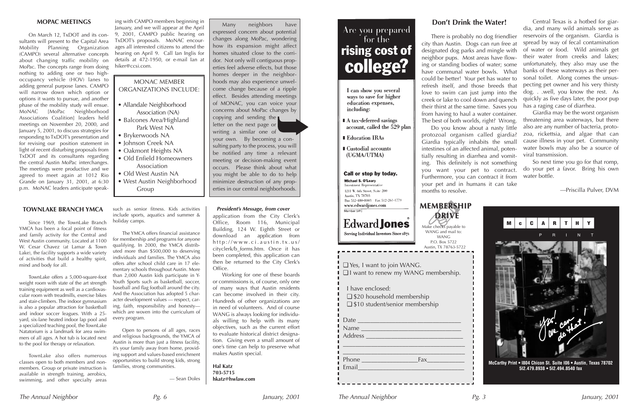# **Edward Jones** Serving Individual Investors Since 1871 Austin, TX 78763-5722 ❏ \$20 household membership ❏ \$10 student/senior membership The Annual Neighbor January, 2001 Pg. 6 The Annual Neighbor January, 2001 Pg. 3

#### **TOWNLAKE BRANCH YMCA**

Since 1969, the TownLake Branch YMCA has been a focal point of fitness and family activity for the Central and West Austin community. Located at 1100 W. Cesar Chavez (at Lamar & Town Lake), the facility supports a wide variety of activities that build a healthy spirit, mind and body for all.

TownLake offers a 5,000-square-foot weight room with state of the art strength training equipment as well as a cardiovascular room with treadmills, exercise bikes and stair-climbers. The indoor gymnasium is also a popular attraction for basketball and indoor soccer leagues. With a 25 yard, six-lane heated indoor lap pool and a specialized teaching pool, the TownLake Natatorium is a landmark for area swimmers of all ages. A hot tub is located next to the pool for therapy or relaxation.

TownLake also offers numerous classes open to both members and nonmembers. Group or private instruction is available in strength training, aerobics, swimming, and other specialty areas

such as senior fitness. Kids activities include sports, aquatics and summer & holiday camps.

The YMCA offers financial assistance for membership and programs for anyone qualifying. In 2000, the YMCA distributed more than \$500,000 to deserving individuals and families. The YMCA also offers after school child care in 17 elementary schools throughout Austin. More than 2,000 Austin kids participate in Y-Youth Sports such as basketball, soccer, baseball and flag football around the city. And the Association has adopted 5 character development values — respect, caring, faith, responsibility and honesty which are woven into the curriculum of every program.

Open to persons of all ages, races and religious backgrounds, the YMCA of Austin is more than just a fitness facility, it's your family away from home, providing support and values-based enrichment opportunities to build strong kids, strong families, strong communities.

— Sean Doles

#### **MOPAC MEETINGS**

On March 12, TxDOT and its consultants will present to the Capital Area Mobility Planning Organization (CAMPO) several alternative concepts about changing traffic mobility on MoPac. The concepts range from doing nothing to adding one or two highoccupancy vehicle (HOV) lanes to adding general purpose lanes. CAMPO will narrow down which option or options it wants to pursue, and another phase of the mobility study will ensue. MoNAC [MoPac Neighborhood Associations Coalition] leaders held meetings on November 20, 2000, and January 5, 2001, to discuss strategies for responding to TxDOT's presentation and for revising our position statement in light of recent disturbing proposals from TxDOT and its consultants regarding the central Austin MoPac interchanges. The meetings were productive and we agreed to meet again at 1012 Rio Grande on January 31, 2001, at 6:30 p.m. MoNAC leaders anticipate speak-

ing with CAMPO members beginning in January, and we will appear at the April 9, 2001, CAMPO public hearing on TxDOT's proposals. MoNAC encourages all interested citizens to attend the hearing on April 9. Call Ian Inglis for details at 472-1950, or e-mail Ian at hiker@ccsi.com.

> ❏ Yes, I want to join WANG. ❏ I want to renew my WANG membership. I have enclosed:

| Date<br>Name                                                                                                        |                                            |
|---------------------------------------------------------------------------------------------------------------------|--------------------------------------------|
| Email <u>Dentis and Charles and Charles and Charles and Charles and Charles and Charles and Charles and Charles</u> | Fax <b>Francisco Entrancisco Francisco</b> |

## **MEMBERSHIP MEMBERSHIP DRIVE**

Make checks payable to WANG and mail to: WANG P.O. Box 5722



Many neighbors have expressed concern about potential changes along MoPac, wondering how its expansion might affect homes situated close to the corridor. Not only will contiguous properties feel adverse effects, but those homes deeper in the neighborhoods may also experience unwelcome change because of a ripple effect. Besides attending meetings of MONAC, you can voice your concerns about MoPac changes by copying and sending the

letter on the next page or writing a similar one of your own. By becoming a consulting party to the process, you will be notified any time a relevant meeting or decision-making event occurs. Please think about what you might be able to do to help minimize destruction of any properties in our central neighborhoods.

## MONAC MEMBER ORGANIZATIONS INCLUDE:

- Allandale Neighborhood Association (NA)
- Balcones Area/Highland Park West NA
- Brykerwoods NA
- Johnson Creek NA
- Oakmont Heights NA
- Old Enfield Homeowners Association
- Old West Austin NA
- West Austin Neighborhood Group

application from the City Clerk's Office, Room 116, Municipal Building, 124 W. Eighth Street or download an application from http://www.ci.austin.tx.us/ cityclerk/b\_forms.htm. Once it has been completed, this application can then be returned to the City Clerk's Office.

Working for one of these boards or commissions is, of course, only one of many ways that Austin residents can become involved in their city. Hundreds of other organizations are in need of volunteers. And of course WANG is always looking for individuals willing to help with its many objectives, such as the current effort to evaluate historical district designation. Giving even a small amount of one's time can help to preserve what makes Austin special.

**Hal Katz 703-5715 hkatz@hwlaw.com**

# Are you prepared<br>for the rising cost of college?

- I can show you several ways to save for higher education expenses, including:
- A tax-deferred savings account, called the 529 plan
- **Education IRAs**
- Custodial accounts (UGMA/UTMA)

### Call or stop by today.

Michael S. O'Leary **Investment Representative** 1211 W. 6th Street. Suite 200 **Austin, TX 78703** Bus 512-480-8003 Fax 512-261-1779 www.edwardiones.com Member SIPC

#### **President's Message, from cover**

## **Don't Drink the Water!**

There is probably no dog friendlier city than Austin. Dogs can run free at designated dog parks and mingle with neighbor pups. Most areas have flowhave communal water bowls. What could be better! Your pet has water to refresh itself, and those breeds that love to swim can just jump into the creek or lake to cool down and quench their thirst at the same time. Saves you from having to haul a water container. The best of both worlds, right? Wrong. Do you know about a nasty little protozoal organism called giardia? Giardia typically inhabits the small intestines of an affected animal, potentially resulting in diarrhea and vomiting. This definitely is not something you want your pet to contract. Furthermore, you can contract it from your pet and in humans it can take

ing or standing bodies of water; some unfortunately, they also may use the Central Texas is a hotbed for giardia, and many wild animals serve as reservoirs of the organism. Giardia is spread by way of fecal contamination of water or food. Wild animals get their water from creeks and lakes; banks of these waterways as their personal toilet. Along comes the unsuspecting pet owner and his very thirsty dog. . .well, you know the rest. As quickly as five days later, the poor pup has a raging case of diarrhea.

months to resolve.

Giardia may be the worst organism threatening area waterways, but there also are any number of bacteria, protozoa, rickettsia, and algae that can cause illness in your pet. Community water bowls may also be a source of viral transmission.

So next time you go for that romp, do your pet a favor. Bring his own water bottle.

—Priscilla Pulver, DVM